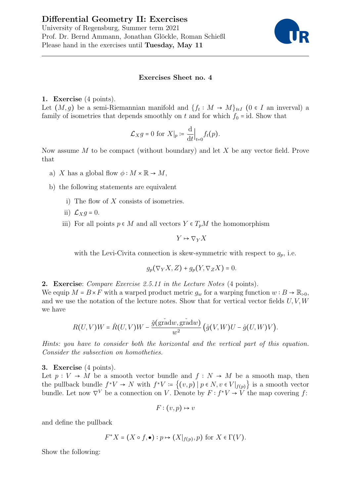# Differential Geometry II: Exercises University of Regensburg, Summer term 2021

Prof. Dr. Bernd Ammann, Jonathan Glöckle, Roman Schießl Please hand in the exercises until Tuesday, May 11



## Exercises Sheet no. 4

### 1. Exercise (4 points).

Let  $(M, g)$  be a semi-Riemannian manifold and  $\{f_t : M \to M\}_{t \in I}$  (0  $\in I$  an inverval) a family of isometries that depends smoothly on t and for which  $f_0 = id$ . Show that

$$
\mathcal{L}_X g = 0
$$
 for  $X|_p := \frac{d}{dt}|_{t=0} f_t(p)$ .

Now assume  $M$  to be compact (without boundary) and let  $X$  be any vector field. Prove that

- a) X has a global flow  $\phi : M \times \mathbb{R} \to M$ ,
- b) the following statements are equivalent
	- i) The flow of  $X$  consists of isometries.
	- ii)  $\mathcal{L}_X g = 0$ .
	- iii) For all points  $p \in M$  and all vectors  $Y \in T_nM$  the homomorphism

$$
Y\mapsto \nabla_Y X
$$

with the Levi-Civita connection is skew-symmetric with respect to  $g_p$ , i.e.

$$
g_p(\nabla_Y X, Z) + g_p(Y, \nabla_Z X) = 0.
$$

2. Exercise: Compare Exercise 2.5.11 in the Lecture Notes (4 points).

We equip  $M = B \times F$  with a warped product metric  $g_w$  for a warping function  $w : B \to \mathbb{R}_{\geq 0}$ , and we use the notation of the lecture notes. Show that for vertical vector fields  $U, V, W$ we have

$$
R(U,V)W = \hat{R}(U,V)W - \frac{\check{g}(\text{grad}w, \text{grad}w)}{w^2} (\hat{g}(V,W)U - \hat{g}(U,W)V).
$$

Hints: you have to consider both the horizontal and the vertical part of this equation. Consider the subsection on homotheties.

### 3. Exercise (4 points).

Let  $p: V \to M$  be a smooth vector bundle and  $f: N \to M$  be a smooth map, then the pullback bundle  $f^*V \to N$  with  $f^*V := \{(v,p) \mid p \in N, v \in V|_{f(p)}\}$  is a smooth vector bundle. Let now  $\nabla^V$  be a connection on V. Denote by  $F: f^*V \to V$  the map covering f:

 $F: (v, p) \mapsto v$ 

and define the pullback

$$
F^*X = (X \circ f, \bullet) : p \mapsto (X|_{f(p)}, p) \text{ for } X \in \Gamma(V).
$$

Show the following: